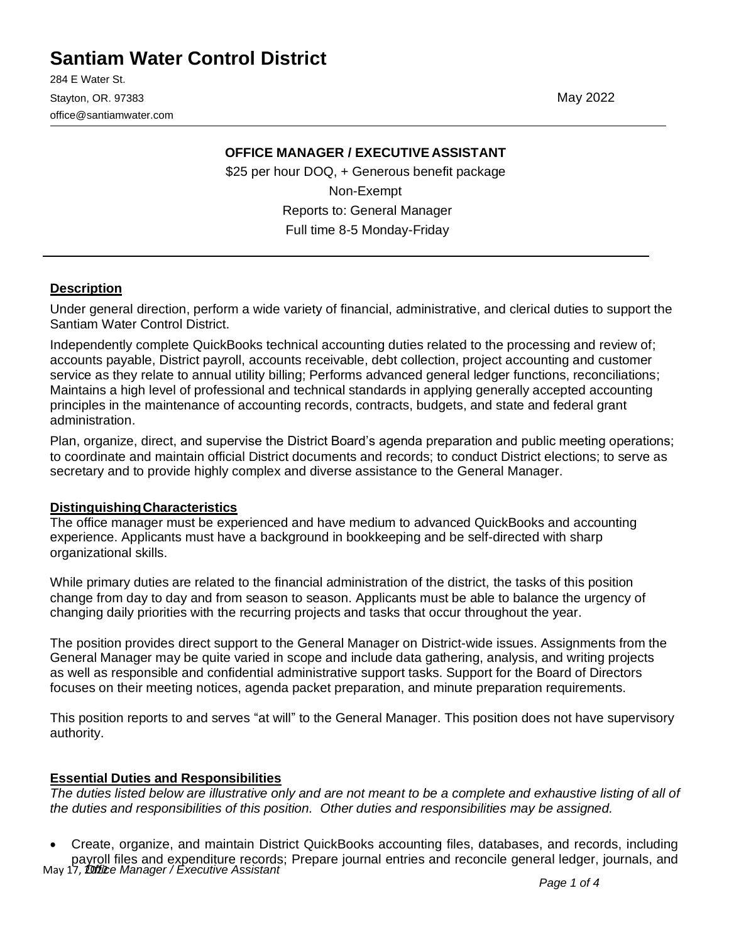# **Santiam Water Control District**

284 E Water St. Stayton, OR. 97383 May 2022 office@santiamwater.com

# **OFFICE MANAGER / EXECUTIVE ASSISTANT**

\$25 per hour DOQ, + Generous benefit package Non-Exempt Reports to: General Manager Full time 8-5 Monday-Friday

# **Description**

Under general direction, perform a wide variety of financial, administrative, and clerical duties to support the Santiam Water Control District.

Independently complete QuickBooks technical accounting duties related to the processing and review of; accounts payable, District payroll, accounts receivable, debt collection, project accounting and customer service as they relate to annual utility billing; Performs advanced general ledger functions, reconciliations; Maintains a high level of professional and technical standards in applying generally accepted accounting principles in the maintenance of accounting records, contracts, budgets, and state and federal grant administration.

Plan, organize, direct, and supervise the District Board's agenda preparation and public meeting operations; to coordinate and maintain official District documents and records; to conduct District elections; to serve as secretary and to provide highly complex and diverse assistance to the General Manager.

## **DistinguishingCharacteristics**

The office manager must be experienced and have medium to advanced QuickBooks and accounting experience. Applicants must have a background in bookkeeping and be self-directed with sharp organizational skills.

While primary duties are related to the financial administration of the district, the tasks of this position change from day to day and from season to season. Applicants must be able to balance the urgency of changing daily priorities with the recurring projects and tasks that occur throughout the year.

The position provides direct support to the General Manager on District-wide issues. Assignments from the General Manager may be quite varied in scope and include data gathering, analysis, and writing projects as well as responsible and confidential administrative support tasks. Support for the Board of Directors focuses on their meeting notices, agenda packet preparation, and minute preparation requirements.

This position reports to and serves "at will" to the General Manager. This position does not have supervisory authority.

## **Essential Duties and Responsibilities**

*The duties listed below are illustrative only and are not meant to be a complete and exhaustive listing of all of the duties and responsibilities of this position. Other duties and responsibilities may be assigned.*

May 17, *Office Manager / Executive Assistant* • Create, organize, and maintain District QuickBooks accounting files, databases, and records, including payroll files and expenditure records; Prepare journal entries and reconcile general ledger, journals, and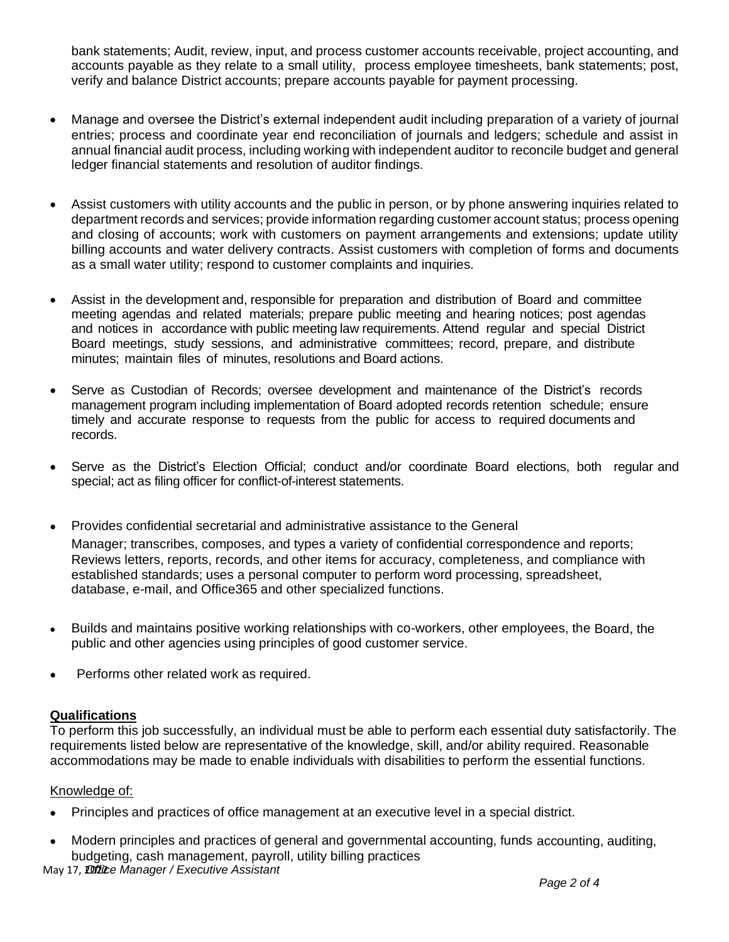bank statements; Audit, review, input, and process customer accounts receivable, project accounting, and accounts payable as they relate to a small utility, process employee timesheets, bank statements; post, verify and balance District accounts; prepare accounts payable for payment processing.

- Manage and oversee the District's external independent audit including preparation of a variety of journal entries; process and coordinate year end reconciliation of journals and ledgers; schedule and assist in annual financial audit process, including working with independent auditor to reconcile budget and general ledger financial statements and resolution of auditor findings.
- Assist customers with utility accounts and the public in person, or by phone answering inquiries related to department records and services; provide information regarding customer account status; process opening and closing of accounts; work with customers on payment arrangements and extensions; update utility billing accounts and water delivery contracts. Assist customers with completion of forms and documents as a small water utility; respond to customer complaints and inquiries.
- Assist in the development and, responsible for preparation and distribution of Board and committee meeting agendas and related materials; prepare public meeting and hearing notices; post agendas and notices in accordance with public meeting law requirements. Attend regular and special District Board meetings, study sessions, and administrative committees; record, prepare, and distribute minutes; maintain files of minutes, resolutions and Board actions.
- Serve as Custodian of Records; oversee development and maintenance of the District's records management program including implementation of Board adopted records retention schedule; ensure timely and accurate response to requests from the public for access to required documents and records.
- Serve as the District's Election Official; conduct and/or coordinate Board elections, both regular and special; act as filing officer for conflict-of-interest statements.
- Provides confidential secretarial and administrative assistance to the General Manager; transcribes, composes, and types a variety of confidential correspondence and reports; Reviews letters, reports, records, and other items for accuracy, completeness, and compliance with established standards; uses a personal computer to perform word processing, spreadsheet, database, e-mail, and Office365 and other specialized functions.
- Builds and maintains positive working relationships with co-workers, other employees, the Board, the public and other agencies using principles of good customer service.
- Performs other related work as required.

# **Qualifications**

To perform this job successfully, an individual must be able to perform each essential duty satisfactorily. The requirements listed below are representative of the knowledge, skill, and/or ability required. Reasonable accommodations may be made to enable individuals with disabilities to perform the essential functions.

## Knowledge of:

- Principles and practices of office management at an executive level in a special district.
- Modern principles and practices of general and governmental accounting, funds accounting, auditing, budgeting, cash management, payroll, utility billing practices

May 17, **20ffic**e Manager / Executive Assistant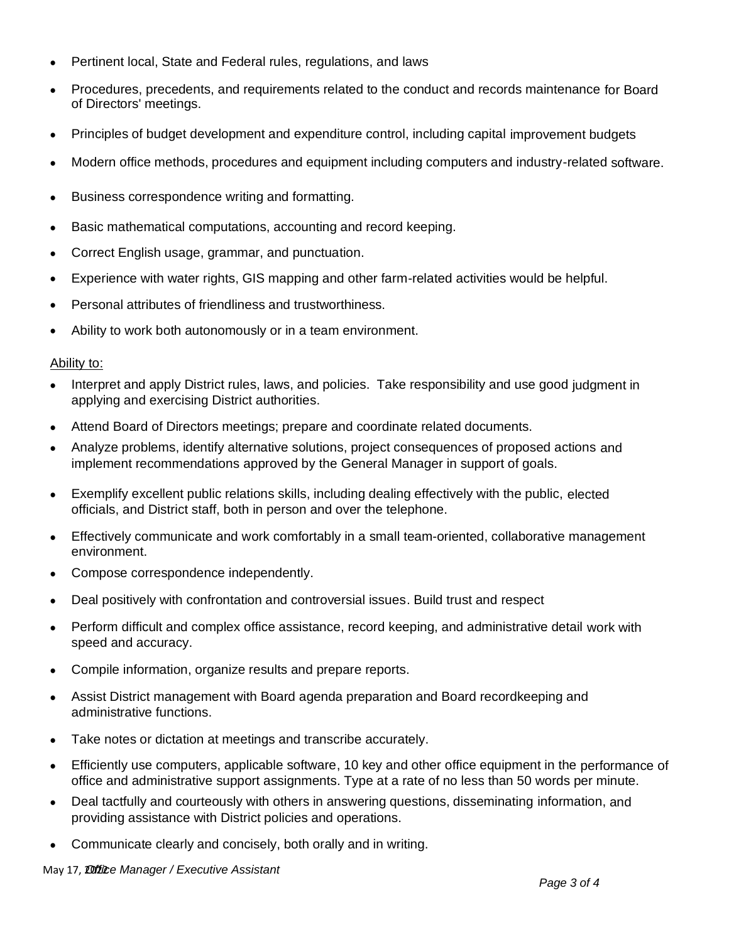- Pertinent local, State and Federal rules, regulations, and laws
- Procedures, precedents, and requirements related to the conduct and records maintenance for Board of Directors' meetings.
- Principles of budget development and expenditure control, including capital improvement budgets
- Modern office methods, procedures and equipment including computers and industry-related software.
- Business correspondence writing and formatting.
- Basic mathematical computations, accounting and record keeping.
- Correct English usage, grammar, and punctuation.
- Experience with water rights, GIS mapping and other farm-related activities would be helpful.
- Personal attributes of friendliness and trustworthiness.
- Ability to work both autonomously or in a team environment.

# Ability to:

- Interpret and apply District rules, laws, and policies. Take responsibility and use good judgment in applying and exercising District authorities.
- Attend Board of Directors meetings; prepare and coordinate related documents.
- Analyze problems, identify alternative solutions, project consequences of proposed actions and implement recommendations approved by the General Manager in support of goals.
- Exemplify excellent public relations skills, including dealing effectively with the public, elected officials, and District staff, both in person and over the telephone.
- Effectively communicate and work comfortably in a small team-oriented, collaborative management environment.
- Compose correspondence independently.
- Deal positively with confrontation and controversial issues. Build trust and respect
- Perform difficult and complex office assistance, record keeping, and administrative detail work with speed and accuracy.
- Compile information, organize results and prepare reports.
- Assist District management with Board agenda preparation and Board recordkeeping and administrative functions.
- Take notes or dictation at meetings and transcribe accurately.
- Efficiently use computers, applicable software, 10 key and other office equipment in the performance of office and administrative support assignments. Type at a rate of no less than 50 words per minute.
- Deal tactfully and courteously with others in answering questions, disseminating information, and providing assistance with District policies and operations.
- Communicate clearly and concisely, both orally and in writing.